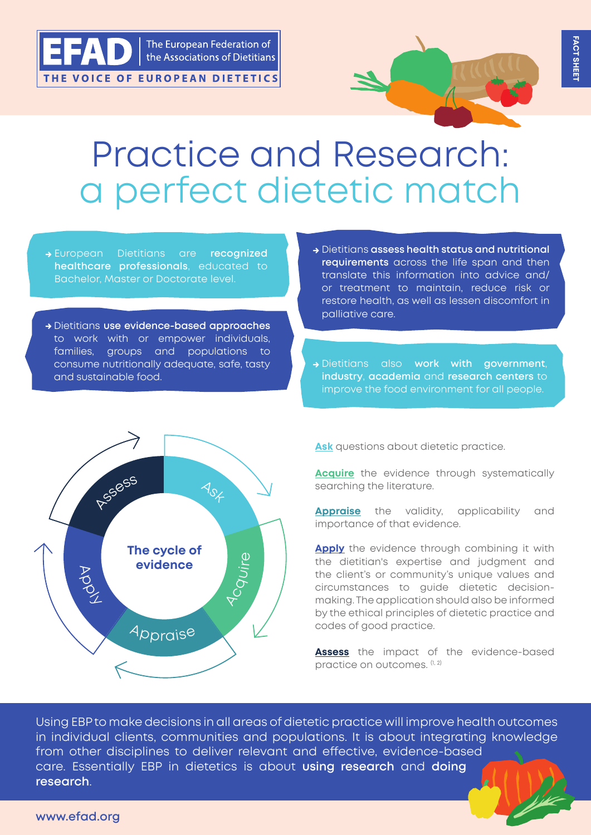



## Practice and Research: a perfect dietetic match

- **→** European Dietitians are **recognized healthcare professionals**, educated to Bachelor, Master or Doctorate level.
- **→** Dietitians **use evidence-based approaches** to work with or empower individuals, families, groups and populations to consume nutritionally adequate, safe, tasty and sustainable food.
- **→** Dietitians **assess health status and nutritional requirements** across the life span and then translate this information into advice and/ or treatment to maintain, reduce risk or restore health, as well as lessen discomfort in palliative care.
- **→** Dietitians also **work with government**, **industry**, **academia** and **research centers** to improve the food environment for all people.



**Ask** questions about dietetic practice.

**Acquire** the evidence through systematically searching the literature.

**Appraise** the validity, applicability and importance of that evidence.

**Apply** the evidence through combining it with the dietitian's expertise and judgment and the client's or community's unique values and circumstances to guide dietetic decisionmaking. The application should also be informed by the ethical principles of dietetic practice and codes of good practice.

**Assess** the impact of the evidence-based practice on outcomes.  $(1, 2)$ 

Using EBP to make decisions in all areas of dietetic practice will improve health outcomes in individual clients, communities and populations. It is about integrating knowledge from other disciplines to deliver relevant and effective, evidence-based care. Essentially EBP in dietetics is about **using research** and **doing research**.

## **www.efad.org**